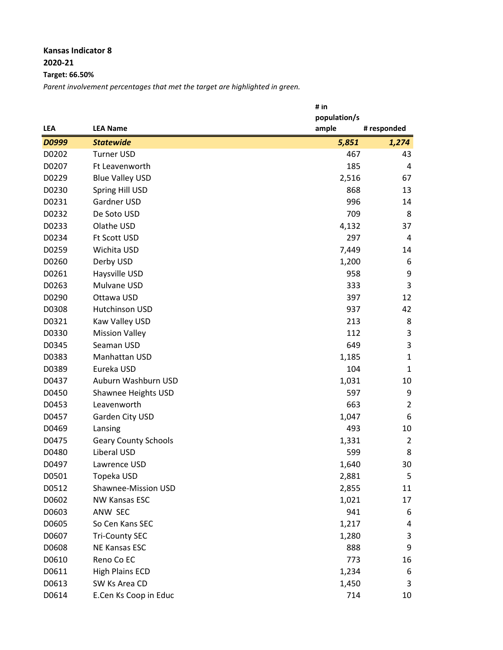## **Kansas Indicator 8 2020-21**

**Target: 66.50%**

*Parent involvement percentages that met the target are highlighted in green.*

|            |                             | # in         |                |
|------------|-----------------------------|--------------|----------------|
|            |                             | population/s |                |
| <b>LEA</b> | <b>LEA Name</b>             | ample        | # responded    |
| D0999      | <b>Statewide</b>            | 5,851        | 1,274          |
| D0202      | <b>Turner USD</b>           | 467          | 43             |
| D0207      | Ft Leavenworth              | 185          | 4              |
| D0229      | <b>Blue Valley USD</b>      | 2,516        | 67             |
| D0230      | Spring Hill USD             | 868          | 13             |
| D0231      | <b>Gardner USD</b>          | 996          | 14             |
| D0232      | De Soto USD                 | 709          | 8              |
| D0233      | Olathe USD                  | 4,132        | 37             |
| D0234      | Ft Scott USD                | 297          | 4              |
| D0259      | Wichita USD                 | 7,449        | 14             |
| D0260      | Derby USD                   | 1,200        | 6              |
| D0261      | Haysville USD               | 958          | 9              |
| D0263      | Mulvane USD                 | 333          | 3              |
| D0290      | Ottawa USD                  | 397          | 12             |
| D0308      | <b>Hutchinson USD</b>       | 937          | 42             |
| D0321      | Kaw Valley USD              | 213          | 8              |
| D0330      | <b>Mission Valley</b>       | 112          | 3              |
| D0345      | Seaman USD                  | 649          | 3              |
| D0383      | Manhattan USD               | 1,185        | $\mathbf{1}$   |
| D0389      | Eureka USD                  | 104          | $\mathbf{1}$   |
| D0437      | Auburn Washburn USD         | 1,031        | 10             |
| D0450      | Shawnee Heights USD         | 597          | 9              |
| D0453      | Leavenworth                 | 663          | $\overline{2}$ |
| D0457      | Garden City USD             | 1,047        | 6              |
| D0469      | Lansing                     | 493          | 10             |
| D0475      | <b>Geary County Schools</b> | 1,331        | $\overline{2}$ |
| D0480      | Liberal USD                 | 599          | 8              |
| D0497      | Lawrence USD                | 1,640        | 30             |
| D0501      | Topeka USD                  | 2,881        | 5              |
| D0512      | Shawnee-Mission USD         | 2,855        | 11             |
| D0602      | <b>NW Kansas ESC</b>        | 1,021        | 17             |
| D0603      | ANW SEC                     | 941          | 6              |
| D0605      | So Cen Kans SEC             | 1,217        | 4              |
| D0607      | <b>Tri-County SEC</b>       | 1,280        | 3              |
| D0608      | <b>NE Kansas ESC</b>        | 888          | 9              |
| D0610      | Reno Co EC                  | 773          | 16             |
| D0611      | <b>High Plains ECD</b>      | 1,234        | 6              |
| D0613      | SW Ks Area CD               | 1,450        | 3              |
| D0614      | E.Cen Ks Coop in Educ       | 714          | 10             |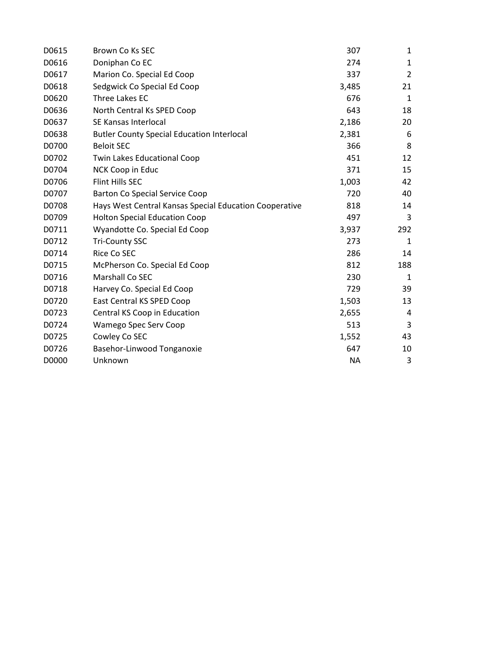| D0615 | Brown Co Ks SEC                                        | 307       | 1              |
|-------|--------------------------------------------------------|-----------|----------------|
| D0616 | Doniphan Co EC                                         | 274       | $\mathbf{1}$   |
| D0617 | Marion Co. Special Ed Coop                             | 337       | $\overline{2}$ |
| D0618 | Sedgwick Co Special Ed Coop                            | 3,485     | 21             |
| D0620 | <b>Three Lakes EC</b>                                  | 676       | 1              |
| D0636 | North Central Ks SPED Coop                             | 643       | 18             |
| D0637 | SE Kansas Interlocal                                   | 2,186     | 20             |
| D0638 | <b>Butler County Special Education Interlocal</b>      | 2,381     | 6              |
| D0700 | <b>Beloit SEC</b>                                      | 366       | 8              |
| D0702 | <b>Twin Lakes Educational Coop</b>                     | 451       | 12             |
| D0704 | NCK Coop in Educ                                       | 371       | 15             |
| D0706 | <b>Flint Hills SEC</b>                                 | 1,003     | 42             |
| D0707 | <b>Barton Co Special Service Coop</b>                  | 720       | 40             |
| D0708 | Hays West Central Kansas Special Education Cooperative | 818       | 14             |
| D0709 | <b>Holton Special Education Coop</b>                   | 497       | 3              |
| D0711 | Wyandotte Co. Special Ed Coop                          | 3,937     | 292            |
| D0712 | <b>Tri-County SSC</b>                                  | 273       | 1              |
| D0714 | Rice Co SEC                                            | 286       | 14             |
| D0715 | McPherson Co. Special Ed Coop                          | 812       | 188            |
| D0716 | Marshall Co SEC                                        | 230       | $\mathbf{1}$   |
| D0718 | Harvey Co. Special Ed Coop                             | 729       | 39             |
| D0720 | East Central KS SPED Coop                              | 1,503     | 13             |
| D0723 | Central KS Coop in Education                           | 2,655     | 4              |
| D0724 | Wamego Spec Serv Coop                                  | 513       | 3              |
| D0725 | Cowley Co SEC                                          | 1,552     | 43             |
| D0726 | Basehor-Linwood Tonganoxie                             | 647       | 10             |
| D0000 | Unknown                                                | <b>NA</b> | 3              |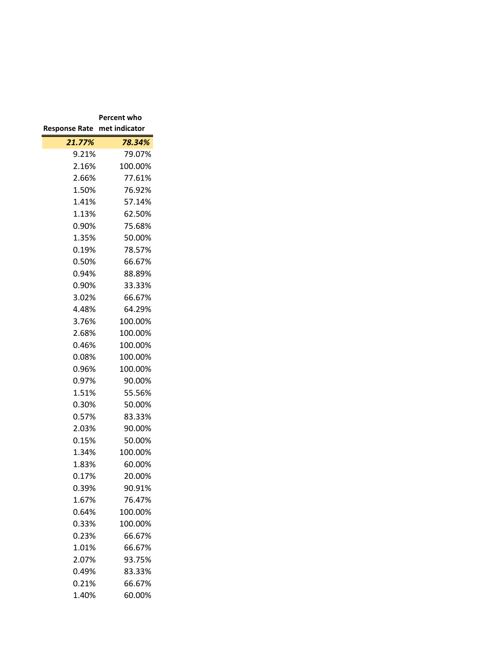|                      | Percent who   |  |  |
|----------------------|---------------|--|--|
| <b>Response Rate</b> | met indicator |  |  |
| 21.77%               | 78.34%        |  |  |
| 9.21%                | 79.07%        |  |  |
| 2.16%                | 100.00%       |  |  |
| 2.66%                | 77.61%        |  |  |
| 1.50%                | 76.92%        |  |  |
| 1.41%                | 57.14%        |  |  |
| 1.13%                | 62.50%        |  |  |
| 0.90%                | 75.68%        |  |  |
| 1.35%                | 50.00%        |  |  |
| 0.19%                | 78.57%        |  |  |
| 0.50%                | 66.67%        |  |  |
| 0.94%                | 88.89%        |  |  |
| 0.90%                | 33.33%        |  |  |
| 3.02%                | 66.67%        |  |  |
| 4.48%                | 64.29%        |  |  |
| 3.76%                | 100.00%       |  |  |
| 2.68%                | 100.00%       |  |  |
| 0.46%                | 100.00%       |  |  |
| $0.08\%$             | 100.00%       |  |  |
| 0.96%                | 100.00%       |  |  |
| 0.97%                | 90.00%        |  |  |
| 1.51%                | 55.56%        |  |  |
| 0.30%                | 50.00%        |  |  |
| 0.57%                | 83.33%        |  |  |
| 2.03%                | 90.00%        |  |  |
| 0.15%                | 50.00%        |  |  |
| 1.34%                | 100.00%       |  |  |
| 1.83%                | 60.00%        |  |  |
| 0.17%                | 20.00%        |  |  |
| 0.39%                | 90.91%        |  |  |
| 1.67%                | 76.47%        |  |  |
| 0.64%                | 100.00%       |  |  |
| 0.33%                | 100.00%       |  |  |
| 0.23%                | 66.67%        |  |  |
| 1.01%                | 66.67%        |  |  |
| 2.07%                | 93.75%        |  |  |
| 0.49%                | 83.33%        |  |  |
| 0.21%                | 66.67%        |  |  |
| 1.40%                | 60.00%        |  |  |